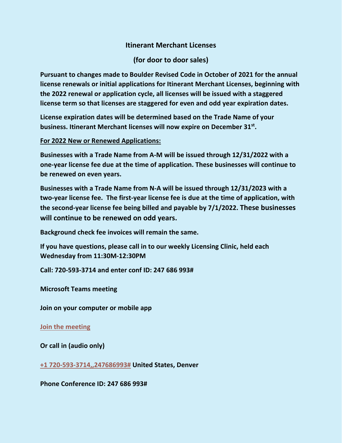# **Itinerant Merchant Licenses**

**(for door to door sales)**

**Pursuant to changes made to Boulder Revised Code in October of 2021 for the annual license renewals or initial applications for Itinerant Merchant Licenses, beginning with the 2022 renewal or application cycle, all licenses will be issued with a staggered license term so that licenses are staggered for even and odd year expiration dates.**

**License expiration dates will be determined based on the Trade Name of your business. Itinerant Merchant licenses will now expire on December 31st.**

# **For 2022 New or Renewed Applications:**

**Businesses with a Trade Name from A-M will be issued through 12/31/2022 with a one-year license fee due at the time of application. These businesses will continue to be renewed on even years.**

**Businesses with a Trade Name from N-A will be issued through 12/31/2023 with a two-year license fee. The first-year license fee is due at the time of application, with the second-year license fee being billed and payable by 7/1/2022. These businesses will continue to be renewed on odd years.**

**Background check fee invoices will remain the same.**

**If you have questions, please call in to our weekly Licensing Clinic, held each Wednesday from 11:30M-12:30PM**

**Call: 720-593-3714 and enter conf ID: 247 686 993#**

**Microsoft Teams meeting**

**Join on your computer or mobile app**

**[Join the meeting](https://teams.microsoft.com/l/meetup-join/19%3ameeting_MGMzYWMxN2ItYTFlNS00YTk0LWFlNWYtNjJjMzUwZmUxNDQ4%40thread.v2/0?context=%7b%22Tid%22%3a%220a7f94bb-40af-4edc-afad-2c1af27bc0f3%22%2c%22Oid%22%3a%22d7d102c6-5172-49ee-9427-e0148194160a%22%7d)**

**Or call in (audio only)**

**[+1 720-593-3714,,247686993#](tel:+17205933714,,247686993) United States, Denver**

**Phone Conference ID: 247 686 993#**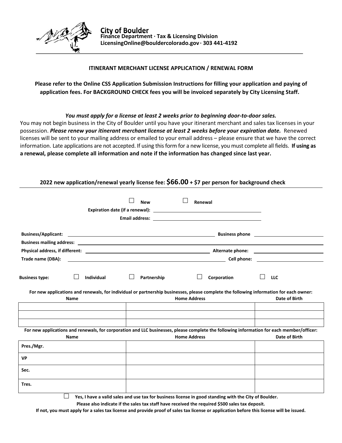

### **ITINERANT MERCHANT LICENSE APPLICATION / RENEWAL FORM**

## **Please refer to the Online CSS Application Submission Instructions for filling your application and paying of application fees. For BACKGROUND CHECK fees you will be invoiced separately by City Licensing Staff.**

### *You must apply for a license at least 2 weeks prior to beginning door‐to‐door sales.*

You may not begin business in the City of Boulder until you have your itinerant merchant and sales tax licenses in your possession. *Please renew your itinerant merchant license at least 2 weeks before your expiration date.* Renewed licenses will be sent to your mailing address or emailed to your email address – please ensure that we have the correct information. Late applications are not accepted. If using this form for a new license, you must complete all fields. **If using as a renewal, please complete all information and note if the information has changed since last year.**

## **2022 new application/renewal yearly license fee: \$66.00 + \$7 per person for background check**

|                                                                                                                                                                                      | <b>New</b><br>Renewal                                                                                                |             |                                                                                                                                                                                                                                    |
|--------------------------------------------------------------------------------------------------------------------------------------------------------------------------------------|----------------------------------------------------------------------------------------------------------------------|-------------|------------------------------------------------------------------------------------------------------------------------------------------------------------------------------------------------------------------------------------|
| <b>Business/Applicant:</b>                                                                                                                                                           | <u> 1989 - Johann John Stone, markin fan it ferstjer fan de ferstjer fan it ferstjer fan it ferstjer fan it fers</u> |             | Business phone <u>contained</u> and the set of the set of the set of the set of the set of the set of the set of the set of the set of the set of the set of the set of the set of the set of the set of the set of the set of the |
|                                                                                                                                                                                      |                                                                                                                      |             |                                                                                                                                                                                                                                    |
| Trade name (DBA):                                                                                                                                                                    |                                                                                                                      |             |                                                                                                                                                                                                                                    |
| <b>Business type:</b><br><b>Individual</b><br>For new applications and renewals, for individual or partnership businesses, please complete the following information for each owner: | Partnership<br><b>Home Address</b>                                                                                   | Corporation | <b>LLC</b><br>Date of Birth                                                                                                                                                                                                        |
| <b>Name</b>                                                                                                                                                                          |                                                                                                                      |             |                                                                                                                                                                                                                                    |
|                                                                                                                                                                                      |                                                                                                                      |             |                                                                                                                                                                                                                                    |
| For new applications and renewals, for corporation and LLC businesses, please complete the following information for each member/officer:                                            |                                                                                                                      |             |                                                                                                                                                                                                                                    |
| <b>Name</b>                                                                                                                                                                          | <b>Home Address</b>                                                                                                  |             | Date of Birth                                                                                                                                                                                                                      |
| Pres./Mgr.                                                                                                                                                                           |                                                                                                                      |             |                                                                                                                                                                                                                                    |
| <b>VP</b>                                                                                                                                                                            |                                                                                                                      |             |                                                                                                                                                                                                                                    |
| Sec.                                                                                                                                                                                 |                                                                                                                      |             |                                                                                                                                                                                                                                    |
| Tres.<br>$\mathbf{v}$ and $\mathbf{v}$ and $\mathbf{v}$                                                                                                                              | the contract of the contract of the contract of the contract of the contract of the contract of the contract of      |             |                                                                                                                                                                                                                                    |

 **Yes, I have a valid sales and use tax for business license in good standing with the City of Boulder.** 

**Please also indicate if the sales tax staff have received the required \$500 sales tax deposit.** 

**If not, you must apply for a sales tax license and provide proof of sales tax license or application before this license will be issued.**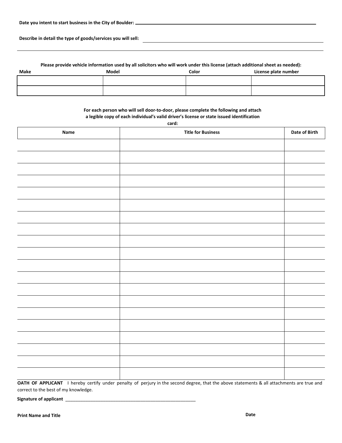**Describe in detail the type of goods/services you will sell:** 

#### **Please provide vehicle information used by all solicitors who will work under this license (attach additional sheet as needed):**

| Make | Model | Color | License plate number |
|------|-------|-------|----------------------|
|      |       |       |                      |
|      |       |       |                      |
|      |       |       |                      |

#### **For each person who will sell door‐to‐door, please complete the following and attach a legible copy of each individual's valid driver's license or state issued identification**

| Name | <b>Title for Business</b> | <b>Date of Birth</b> |
|------|---------------------------|----------------------|
|      |                           |                      |
|      |                           |                      |
|      |                           |                      |
|      |                           |                      |
|      |                           |                      |
|      |                           |                      |
|      |                           |                      |
|      |                           |                      |
|      |                           |                      |
|      |                           |                      |
|      |                           |                      |
|      |                           |                      |
|      |                           |                      |
|      |                           |                      |
|      |                           |                      |
|      |                           |                      |
|      |                           |                      |
|      |                           |                      |
|      |                           |                      |
|      |                           |                      |

**OATH OF APPLICANT** I hereby certify under penalty of perjury in the second degree, that the above statements & all attachments are true and correct to the best of my knowledge.

Signature of applicant \_\_